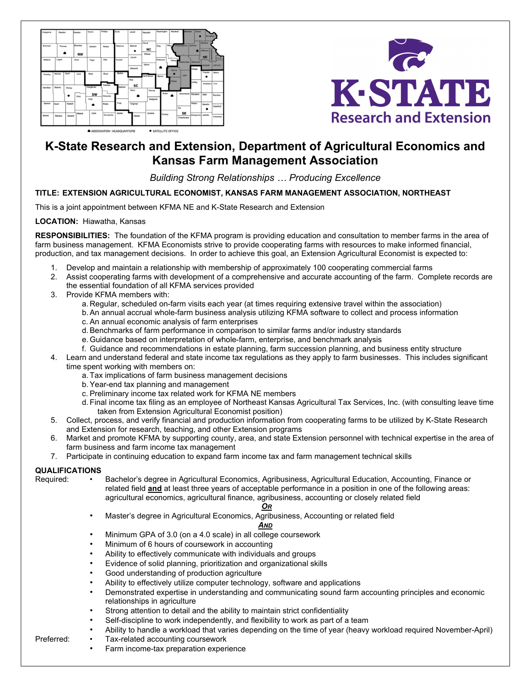



# K-State Research and Extension, Department of Agricultural Economics and Kansas Farm Management Association

## Building Strong Relationships … Producing Excellence

## TITLE: EXTENSION AGRICULTURAL ECONOMIST, KANSAS FARM MANAGEMENT ASSOCIATION, NORTHEAST

This is a joint appointment between KFMA NE and K-State Research and Extension

#### LOCATION: Hiawatha, Kansas

RESPONSIBILITIES: The foundation of the KFMA program is providing education and consultation to member farms in the area of farm business management. KFMA Economists strive to provide cooperating farms with resources to make informed financial, production, and tax management decisions. In order to achieve this goal, an Extension Agricultural Economist is expected to:

- 1. Develop and maintain a relationship with membership of approximately 100 cooperating commercial farms
- 2. Assist cooperating farms with development of a comprehensive and accurate accounting of the farm. Complete records are the essential foundation of all KFMA services provided
- 3. Provide KFMA members with:
	- a. Regular, scheduled on-farm visits each year (at times requiring extensive travel within the association)
	- b. An annual accrual whole-farm business analysis utilizing KFMA software to collect and process information
	- c. An annual economic analysis of farm enterprises
	- d. Benchmarks of farm performance in comparison to similar farms and/or industry standards
	- e. Guidance based on interpretation of whole-farm, enterprise, and benchmark analysis
	- f. Guidance and recommendations in estate planning, farm succession planning, and business entity structure
- 4. Learn and understand federal and state income tax regulations as they apply to farm businesses. This includes significant time spent working with members on:
	- a. Tax implications of farm business management decisions
	- b. Year-end tax planning and management
	- c. Preliminary income tax related work for KFMA NE members
	- d. Final income tax filing as an employee of Northeast Kansas Agricultural Tax Services, Inc. (with consulting leave time taken from Extension Agricultural Economist position)
- 5. Collect, process, and verify financial and production information from cooperating farms to be utilized by K-State Research and Extension for research, teaching, and other Extension programs
- 6. Market and promote KFMA by supporting county, area, and state Extension personnel with technical expertise in the area of farm business and farm income tax management
- 7. Participate in continuing education to expand farm income tax and farm management technical skills

### QUALIFICATIONS

Required: • Bachelor's degree in Agricultural Economics, Agribusiness, Agricultural Education, Accounting, Finance or related field and at least three years of acceptable performance in a position in one of the following areas: agricultural economics, agricultural finance, agribusiness, accounting or closely related field

#### O<sub>R</sub>

• Master's degree in Agricultural Economics, Agribusiness, Accounting or related field

#### AND

- Minimum GPA of 3.0 (on a 4.0 scale) in all college coursework
- Minimum of 6 hours of coursework in accounting
- Ability to effectively communicate with individuals and groups
- Evidence of solid planning, prioritization and organizational skills
- Good understanding of production agriculture
- Ability to effectively utilize computer technology, software and applications
- Demonstrated expertise in understanding and communicating sound farm accounting principles and economic relationships in agriculture
- Strong attention to detail and the ability to maintain strict confidentiality
- Self-discipline to work independently, and flexibility to work as part of a team
- Ability to handle a workload that varies depending on the time of year (heavy workload required November-April)
- Preferred: Tax-related accounting coursework
	- Farm income-tax preparation experience